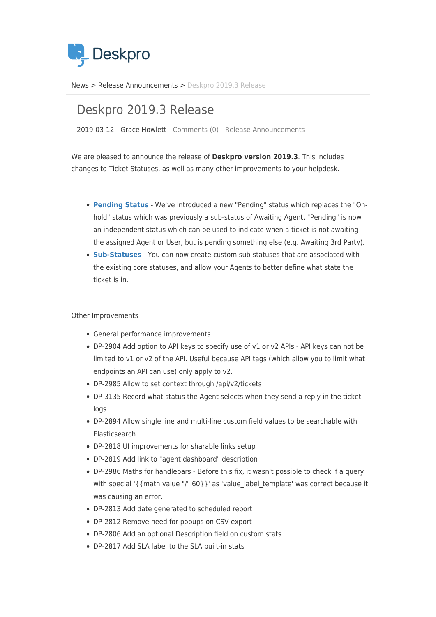

[News](https://support.deskpro.com/zh-CN/news) > [Release Announcements](https://support.deskpro.com/zh-CN/news/release-announcements) > [Deskpro 2019.3 Release](https://support.deskpro.com/zh-CN/news/posts/deskpro-2019-3-release)

## Deskpro 2019.3 Release

2019-03-12 - Grace Howlett - [Comments \(0\)](#page--1-0) - [Release Announcements](https://support.deskpro.com/zh-CN/news/release-announcements)

We are pleased to announce the release of **Deskpro version 2019.3**. This includes changes to Ticket Statuses, as well as many other improvements to your helpdesk.

- **[Pending Status](https://support.deskpro.com/en/news/posts/pending-status)** We've introduced a new "Pending" status which replaces the "Onhold" status which was previously a sub-status of Awaiting Agent. "Pending" is now an independent status which can be used to indicate when a ticket is not awaiting the assigned Agent or User, but is pending something else (e.g. Awaiting 3rd Party).
- **[Sub-Statuses](https://support.deskpro.com/en/news/posts/sub-statuses)** You can now create custom sub-statuses that are associated with the existing core statuses, and allow your Agents to better define what state the ticket is in.

## Other Improvements

- General performance improvements
- DP-2904 Add option to API keys to specify use of v1 or v2 APIs API keys can not be limited to v1 or v2 of the API. Useful because API tags (which allow you to limit what endpoints an API can use) only apply to v2.
- DP-2985 Allow to set context through /api/v2/tickets
- DP-3135 Record what status the Agent selects when they send a reply in the ticket logs
- DP-2894 Allow single line and multi-line custom field values to be searchable with Elasticsearch
- DP-2818 UI improvements for sharable links setup
- DP-2819 Add link to "agent dashboard" description
- DP-2986 Maths for handlebars Before this fix, it wasn't possible to check if a query with special '{{math value "/" 60}}' as 'value label template' was correct because it was causing an error.
- DP-2813 Add date generated to scheduled report
- DP-2812 Remove need for popups on CSV export
- DP-2806 Add an optional Description field on custom stats
- DP-2817 Add SLA label to the SLA built-in stats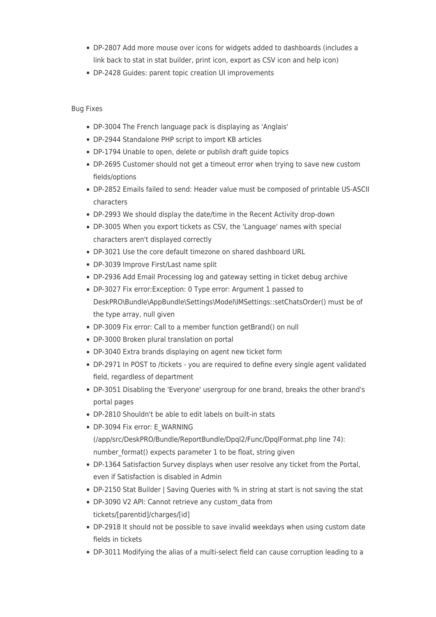- DP-2807 Add more mouse over icons for widgets added to dashboards (includes a link back to stat in stat builder, print icon, export as CSV icon and help icon)
- DP-2428 Guides: parent topic creation UI improvements

## Bug Fixes

- DP-3004 The French language pack is displaying as 'Anglais'
- DP-2944 Standalone PHP script to import KB articles
- DP-1794 Unable to open, delete or publish draft guide topics
- DP-2695 Customer should not get a timeout error when trying to save new custom fields/options
- DP-2852 Emails failed to send: Header value must be composed of printable US-ASCII characters
- DP-2993 We should display the date/time in the Recent Activity drop-down
- DP-3005 When you export tickets as CSV, the 'Language' names with special characters aren't displayed correctly
- DP-3021 Use the core default timezone on shared dashboard URL
- DP-3039 Improve First/Last name split
- DP-2936 Add Email Processing log and gateway setting in ticket debug archive
- DP-3027 Fix error:Exception: 0 Type error: Argument 1 passed to DeskPRO\Bundle\AppBundle\Settings\Model\IMSettings::setChatsOrder() must be of the type array, null given
- DP-3009 Fix error: Call to a member function getBrand() on null
- DP-3000 Broken plural translation on portal
- DP-3040 Extra brands displaying on agent new ticket form
- DP-2971 In POST to /tickets you are required to define every single agent validated field, regardless of department
- DP-3051 Disabling the 'Everyone' usergroup for one brand, breaks the other brand's portal pages
- DP-2810 Shouldn't be able to edit labels on built-in stats
- DP-3094 Fix error: E\_WARNING
- (/app/src/DeskPRO/Bundle/ReportBundle/Dpql2/Func/DpqlFormat.php line 74): number format() expects parameter 1 to be float, string given
- DP-1364 Satisfaction Survey displays when user resolve any ticket from the Portal, even if Satisfaction is disabled in Admin
- DP-2150 Stat Builder | Saving Queries with % in string at start is not saving the stat
- DP-3090 V2 API: Cannot retrieve any custom\_data from tickets/[parentid]/charges/[id]
- DP-2918 It should not be possible to save invalid weekdays when using custom date fields in tickets
- DP-3011 Modifying the alias of a multi-select field can cause corruption leading to a